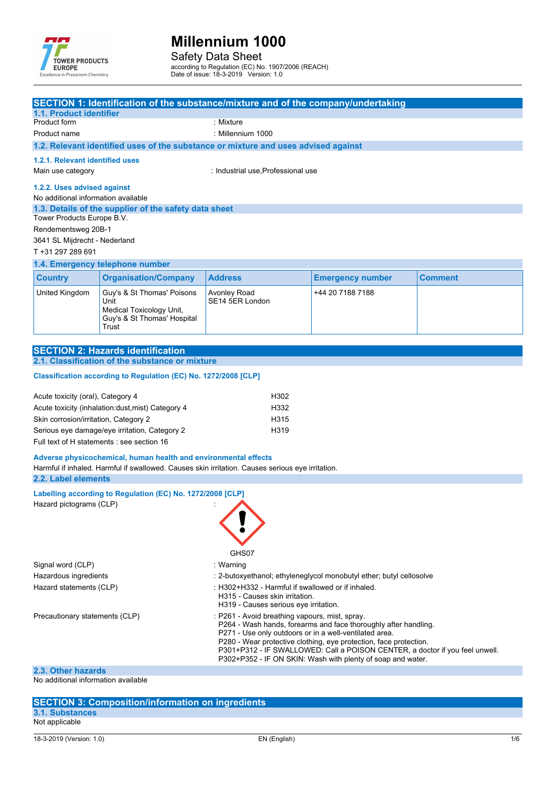

Safety Data Sheet according to Regulation (EC) No. 1907/2006 (REACH) Date of issue: 18-3-2019 Version: 1.0

SE14 5ER London

**SECTION 1: Identification of the substance/mixture and of the company/undertaking 1.1. Product identifier** Product form : Nixture : Mixture Product name : Millennium 1000 **1.2. Relevant identified uses of the substance or mixture and uses advised against 1.2.1. Relevant identified uses** Main use category **industrial use**, Professional use **1.2.2. Uses advised against** No additional information available **1.3. Details of the supplier of the safety data sheet 1.4. Emergency telephone number Country Organisation/Company Address Emergency** number **Comment** United Kingdom Guy's & St Thomas' Poisons Avonley Road +44 20 7188 7188 Tower Products Europe B.V. Rendementsweg 20B-1 3641 SL Mijdrecht - Nederland T +31 297 289 691

| <b>SECTION 2: Hazards identification</b>        |  |
|-------------------------------------------------|--|
| 2.1. Classification of the substance or mixture |  |

Unit

**Trust** 

#### Classification according to Regulation (EC) No. 1272/2008 [CLP]

Medical Toxicology Unit, Guy's & St Thomas' Hospital

| Acute toxicity (oral), Category 4                  | H302 |
|----------------------------------------------------|------|
|                                                    |      |
| Acute toxicity (inhalation: dust, mist) Category 4 | H332 |
| Skin corrosion/irritation, Category 2              | H315 |
|                                                    |      |
| Serious eye damage/eye irritation, Category 2      | H319 |
| Full text of H statements : see section 16         |      |

**Adverse physicochemical, human health and environmental effects**

Harmful if inhaled. Harmful if swallowed. Causes skin irritation. Causes serious eye irritation.

#### **2.2. Label elements**

**Labelling** according to Regulation (EC) No. 1272/2008 [CLP] Hazard pictograms (CLP) :

|                                | GHS07                                                                                                                                                                                                                                                                                                                                                                                           |
|--------------------------------|-------------------------------------------------------------------------------------------------------------------------------------------------------------------------------------------------------------------------------------------------------------------------------------------------------------------------------------------------------------------------------------------------|
| Signal word (CLP)              | : Warning                                                                                                                                                                                                                                                                                                                                                                                       |
| Hazardous ingredients          | : 2-butoxyethanol; ethyleneglycol monobutyl ether; butyl cellosolve                                                                                                                                                                                                                                                                                                                             |
| Hazard statements (CLP)        | : H302+H332 - Harmful if swallowed or if inhaled.<br>H315 - Causes skin irritation.<br>H319 - Causes serious eve irritation.                                                                                                                                                                                                                                                                    |
| Precautionary statements (CLP) | : P261 - Avoid breathing vapours, mist, spray.<br>P264 - Wash hands, forearms and face thoroughly after handling.<br>P271 - Use only outdoors or in a well-ventilated area.<br>P280 - Wear protective clothing, eye protection, face protection.<br>P301+P312 - IF SWALLOWED: Call a POISON CENTER, a doctor if you feel unwell.<br>P302+P352 - IF ON SKIN: Wash with plenty of soap and water. |
| 2.3. Other hazards             |                                                                                                                                                                                                                                                                                                                                                                                                 |

#### No additional information available

#### **SECTION 3: Composition/information on ingredients 3.1. Substances** Not applicable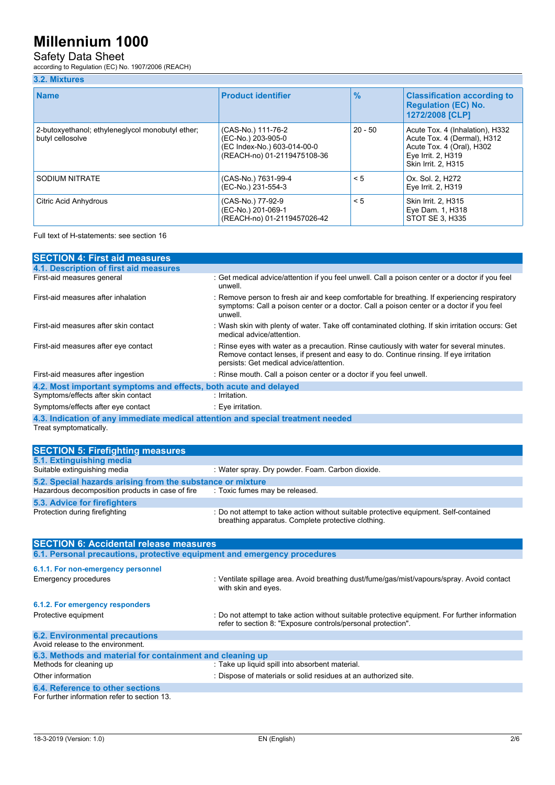## Safety Data Sheet

according to Regulation (EC) No. 1907/2006 (REACH)

### **3.2. Mixtures**

| <b>Name</b>                                                          | <b>Product identifier</b>                                                                              | $\frac{9}{6}$ | <b>Classification according to</b><br><b>Regulation (EC) No.</b><br>1272/2008 [CLP]                                                      |
|----------------------------------------------------------------------|--------------------------------------------------------------------------------------------------------|---------------|------------------------------------------------------------------------------------------------------------------------------------------|
| 2-butoxyethanol; ethyleneglycol monobutyl ether;<br>butyl cellosolve | (CAS-No.) 111-76-2<br>(EC-No.) 203-905-0<br>(EC Index-No.) 603-014-00-0<br>(REACH-no) 01-2119475108-36 | $20 - 50$     | Acute Tox. 4 (Inhalation), H332<br>Acute Tox. 4 (Dermal), H312<br>Acute Tox. 4 (Oral), H302<br>Eye Irrit. 2, H319<br>Skin Irrit. 2. H315 |
| SODIUM NITRATE                                                       | (CAS-No.) 7631-99-4<br>(EC-No.) 231-554-3                                                              | < 5           | Ox. Sol. 2. H272<br>Eye Irrit. 2, H319                                                                                                   |
| Citric Acid Anhydrous                                                | (CAS-No.) 77-92-9<br>(EC-No.) 201-069-1<br>(REACH-no) 01-2119457026-42                                 | $\leq 5$      | Skin Irrit. 2, H315<br>Eye Dam. 1, H318<br>STOT SE 3, H335                                                                               |

Full text of H-statements: see section 16

| <b>SECTION 4: First aid measures</b>                                            |                                                                                                                                                                                                                               |
|---------------------------------------------------------------------------------|-------------------------------------------------------------------------------------------------------------------------------------------------------------------------------------------------------------------------------|
| 4.1. Description of first aid measures                                          |                                                                                                                                                                                                                               |
| First-aid measures general                                                      | : Get medical advice/attention if you feel unwell. Call a poison center or a doctor if you feel<br>unwell.                                                                                                                    |
| First-aid measures after inhalation                                             | : Remove person to fresh air and keep comfortable for breathing. If experiencing respiratory<br>symptoms: Call a poison center or a doctor. Call a poison center or a doctor if you feel<br>unwell.                           |
| First-aid measures after skin contact                                           | : Wash skin with plenty of water. Take off contaminated clothing. If skin irritation occurs: Get<br>medical advice/attention.                                                                                                 |
| First-aid measures after eye contact                                            | : Rinse eyes with water as a precaution. Rinse cautiously with water for several minutes.<br>Remove contact lenses, if present and easy to do. Continue rinsing. If eye irritation<br>persists: Get medical advice/attention. |
| First-aid measures after ingestion                                              | : Rinse mouth. Call a poison center or a doctor if you feel unwell.                                                                                                                                                           |
| 4.2. Most important symptoms and effects, both acute and delayed                |                                                                                                                                                                                                                               |
| Symptoms/effects after skin contact                                             | : Irritation.                                                                                                                                                                                                                 |
| Symptoms/effects after eye contact                                              | : Eye irritation.                                                                                                                                                                                                             |
| 4.3. Indication of any immediate medical attention and special treatment needed |                                                                                                                                                                                                                               |

Treat symptomatically.

| <b>SECTION 5: Firefighting measures</b>                    |                                                                                                                                             |
|------------------------------------------------------------|---------------------------------------------------------------------------------------------------------------------------------------------|
| 5.1. Extinguishing media                                   |                                                                                                                                             |
| Suitable extinguishing media                               | : Water spray. Dry powder. Foam. Carbon dioxide.                                                                                            |
| 5.2. Special hazards arising from the substance or mixture |                                                                                                                                             |
| Hazardous decomposition products in case of fire           | : Toxic fumes may be released.                                                                                                              |
| 5.3. Advice for firefighters                               |                                                                                                                                             |
| Protection during firefighting                             | : Do not attempt to take action without suitable protective equipment. Self-contained<br>breathing apparatus. Complete protective clothing. |

| <b>SECTION 6: Accidental release measures</b>                            |                                                                                                                                                                |  |  |  |
|--------------------------------------------------------------------------|----------------------------------------------------------------------------------------------------------------------------------------------------------------|--|--|--|
| 6.1. Personal precautions, protective equipment and emergency procedures |                                                                                                                                                                |  |  |  |
| 6.1.1. For non-emergency personnel                                       |                                                                                                                                                                |  |  |  |
| <b>Emergency procedures</b>                                              | : Ventilate spillage area. Avoid breathing dust/fume/gas/mist/vapours/spray. Avoid contact<br>with skin and eyes.                                              |  |  |  |
| 6.1.2. For emergency responders                                          |                                                                                                                                                                |  |  |  |
| Protective equipment                                                     | : Do not attempt to take action without suitable protective equipment. For further information<br>refer to section 8: "Exposure controls/personal protection". |  |  |  |
| <b>6.2. Environmental precautions</b>                                    |                                                                                                                                                                |  |  |  |
| Avoid release to the environment.                                        |                                                                                                                                                                |  |  |  |
| 6.3. Methods and material for containment and cleaning up                |                                                                                                                                                                |  |  |  |
| Methods for cleaning up                                                  | : Take up liquid spill into absorbent material.                                                                                                                |  |  |  |
| Other information                                                        | : Dispose of materials or solid residues at an authorized site.                                                                                                |  |  |  |
| 6.4. Reference to other sections                                         |                                                                                                                                                                |  |  |  |
| For further information refer to section 13.                             |                                                                                                                                                                |  |  |  |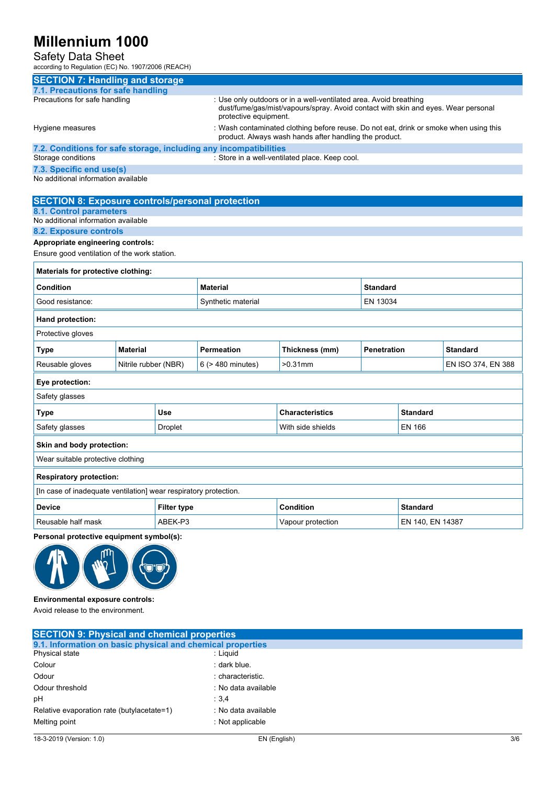### Safety Data Sheet

according to Regulation (EC) No. 1907/2006 (REACH)

| <b>SECTION 7: Handling and storage</b>                            |                      |                    |                                                                                                                                                                                 |                                                                                                                                                 |                    |                 |                    |
|-------------------------------------------------------------------|----------------------|--------------------|---------------------------------------------------------------------------------------------------------------------------------------------------------------------------------|-------------------------------------------------------------------------------------------------------------------------------------------------|--------------------|-----------------|--------------------|
| 7.1. Precautions for safe handling                                |                      |                    |                                                                                                                                                                                 |                                                                                                                                                 |                    |                 |                    |
| Precautions for safe handling                                     |                      |                    | : Use only outdoors or in a well-ventilated area. Avoid breathing<br>dust/fume/gas/mist/vapours/spray. Avoid contact with skin and eyes. Wear personal<br>protective equipment. |                                                                                                                                                 |                    |                 |                    |
| Hygiene measures                                                  |                      |                    |                                                                                                                                                                                 | : Wash contaminated clothing before reuse. Do not eat, drink or smoke when using this<br>product. Always wash hands after handling the product. |                    |                 |                    |
| 7.2. Conditions for safe storage, including any incompatibilities |                      |                    |                                                                                                                                                                                 |                                                                                                                                                 |                    |                 |                    |
| Storage conditions                                                |                      |                    |                                                                                                                                                                                 | : Store in a well-ventilated place. Keep cool.                                                                                                  |                    |                 |                    |
| 7.3. Specific end use(s)                                          |                      |                    |                                                                                                                                                                                 |                                                                                                                                                 |                    |                 |                    |
| No additional information available                               |                      |                    |                                                                                                                                                                                 |                                                                                                                                                 |                    |                 |                    |
| <b>SECTION 8: Exposure controls/personal protection</b>           |                      |                    |                                                                                                                                                                                 |                                                                                                                                                 |                    |                 |                    |
| <b>8.1. Control parameters</b>                                    |                      |                    |                                                                                                                                                                                 |                                                                                                                                                 |                    |                 |                    |
| No additional information available                               |                      |                    |                                                                                                                                                                                 |                                                                                                                                                 |                    |                 |                    |
| 8.2. Exposure controls                                            |                      |                    |                                                                                                                                                                                 |                                                                                                                                                 |                    |                 |                    |
| Appropriate engineering controls:                                 |                      |                    |                                                                                                                                                                                 |                                                                                                                                                 |                    |                 |                    |
| Ensure good ventilation of the work station.                      |                      |                    |                                                                                                                                                                                 |                                                                                                                                                 |                    |                 |                    |
| Materials for protective clothing:                                |                      |                    |                                                                                                                                                                                 |                                                                                                                                                 |                    |                 |                    |
| <b>Condition</b>                                                  |                      | <b>Material</b>    |                                                                                                                                                                                 | <b>Standard</b>                                                                                                                                 |                    |                 |                    |
| Good resistance:                                                  |                      | Synthetic material | EN 13034                                                                                                                                                                        |                                                                                                                                                 |                    |                 |                    |
| Hand protection:                                                  |                      |                    |                                                                                                                                                                                 |                                                                                                                                                 |                    |                 |                    |
| Protective gloves                                                 |                      |                    |                                                                                                                                                                                 |                                                                                                                                                 |                    |                 |                    |
| Type                                                              | <b>Material</b>      |                    | <b>Permeation</b>                                                                                                                                                               | Thickness (mm)                                                                                                                                  | <b>Penetration</b> |                 | <b>Standard</b>    |
| Reusable gloves                                                   | Nitrile rubber (NBR) |                    | 6 (> 480 minutes)                                                                                                                                                               | $>0.31$ mm                                                                                                                                      |                    |                 | EN ISO 374, EN 388 |
| Eye protection:                                                   |                      |                    |                                                                                                                                                                                 |                                                                                                                                                 |                    |                 |                    |
| Safety glasses                                                    |                      |                    |                                                                                                                                                                                 |                                                                                                                                                 |                    |                 |                    |
| Type                                                              |                      | Use                |                                                                                                                                                                                 | <b>Characteristics</b>                                                                                                                          |                    | <b>Standard</b> |                    |
| Safety glasses                                                    | <b>Droplet</b>       |                    |                                                                                                                                                                                 | With side shields                                                                                                                               |                    | <b>EN 166</b>   |                    |
| Skin and body protection:                                         |                      |                    |                                                                                                                                                                                 |                                                                                                                                                 |                    |                 |                    |
| Wear suitable protective clothing                                 |                      |                    |                                                                                                                                                                                 |                                                                                                                                                 |                    |                 |                    |
| <b>Respiratory protection:</b>                                    |                      |                    |                                                                                                                                                                                 |                                                                                                                                                 |                    |                 |                    |
| [In case of inadequate ventilation] wear respiratory protection.  |                      |                    |                                                                                                                                                                                 |                                                                                                                                                 |                    |                 |                    |
| <b>Device</b>                                                     |                      | <b>Filter type</b> |                                                                                                                                                                                 | <b>Condition</b>                                                                                                                                |                    | <b>Standard</b> |                    |
| Reusable half mask<br>ABEK-P3                                     |                      |                    | Vapour protection<br>EN 140, EN 14387                                                                                                                                           |                                                                                                                                                 |                    |                 |                    |
| Personal protective equipment symbol(s):                          |                      |                    |                                                                                                                                                                                 |                                                                                                                                                 |                    |                 |                    |



**Environmental exposure controls:**

Avoid release to the environment.

| <b>SECTION 9: Physical and chemical properties</b>         |                     |
|------------------------------------------------------------|---------------------|
| 9.1. Information on basic physical and chemical properties |                     |
| Physical state                                             | : Liguid            |
| Colour                                                     | : dark blue.        |
| Odour                                                      | : characteristic.   |
| Odour threshold                                            | : No data available |
| pH                                                         | : 3.4               |
| Relative evaporation rate (butylacetate=1)                 | : No data available |
| Melting point                                              | : Not applicable    |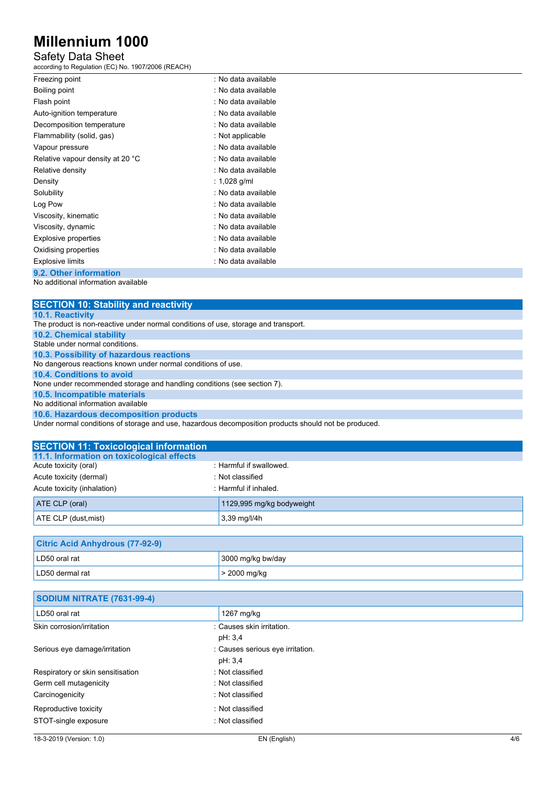## Safety Data Sheet

according to Regulation (EC) No. 1907/2006 (REACH)

| Freezing point                   | : No data available |
|----------------------------------|---------------------|
| Boiling point                    | : No data available |
| Flash point                      | : No data available |
| Auto-ignition temperature        | : No data available |
| Decomposition temperature        | : No data available |
| Flammability (solid, gas)        | : Not applicable    |
| Vapour pressure                  | : No data available |
| Relative vapour density at 20 °C | : No data available |
| Relative density                 | : No data available |
| Density                          | : 1,028 g/ml        |
| Solubility                       | : No data available |
| Log Pow                          | : No data available |
| Viscosity, kinematic             | : No data available |
| Viscosity, dynamic               | : No data available |
| <b>Explosive properties</b>      | : No data available |
| Oxidising properties             | : No data available |
| <b>Explosive limits</b>          | : No data available |
| .<br>$\overline{a}$              |                     |

**9.2. Other information** No additional information available

| <b>SECTION 10: Stability and reactivity</b>                                                         |
|-----------------------------------------------------------------------------------------------------|
| <b>10.1. Reactivity</b>                                                                             |
| The product is non-reactive under normal conditions of use, storage and transport.                  |
| <b>10.2. Chemical stability</b>                                                                     |
| Stable under normal conditions.                                                                     |
| 10.3. Possibility of hazardous reactions                                                            |
| No dangerous reactions known under normal conditions of use.                                        |
| 10.4. Conditions to avoid                                                                           |
| None under recommended storage and handling conditions (see section 7).                             |
| 10.5. Incompatible materials                                                                        |
| No additional information available                                                                 |
| 10.6. Hazardous decomposition products                                                              |
| Under nermal conditions of sterage and use, hazardous decomposition products should not be produced |

| Under normal conditions of storage and use, hazardous decomposition products should not be produced. |  |
|------------------------------------------------------------------------------------------------------|--|
|------------------------------------------------------------------------------------------------------|--|

| <b>SECTION 11: Toxicological information</b> |                           |
|----------------------------------------------|---------------------------|
| 11.1. Information on toxicological effects   |                           |
| Acute toxicity (oral)                        | : Harmful if swallowed.   |
| Acute toxicity (dermal)                      | : Not classified          |
| Acute toxicity (inhalation)                  | : Harmful if inhaled.     |
| ATE CLP (oral)                               | 1129,995 mg/kg bodyweight |
| ATE CLP (dust, mist)                         | $3,39$ mg/l/4h            |

| <b>Citric Acid Anhydrous (77-92-9)</b> |                   |
|----------------------------------------|-------------------|
| LD50 oral rat                          | 3000 mg/kg bw/day |
| LD50 dermal rat                        | $>$ 2000 mg/kg    |

| SODIUM NITRATE (7631-99-4)        |                                  |  |
|-----------------------------------|----------------------------------|--|
| LD50 oral rat                     | 1267 mg/kg                       |  |
| Skin corrosion/irritation         | : Causes skin irritation.        |  |
|                                   | pH: 3,4                          |  |
| Serious eye damage/irritation     | : Causes serious eye irritation. |  |
|                                   | pH: 3,4                          |  |
| Respiratory or skin sensitisation | : Not classified                 |  |
| Germ cell mutagenicity            | : Not classified                 |  |
| Carcinogenicity                   | : Not classified                 |  |
| Reproductive toxicity             | : Not classified                 |  |
| STOT-single exposure              | : Not classified                 |  |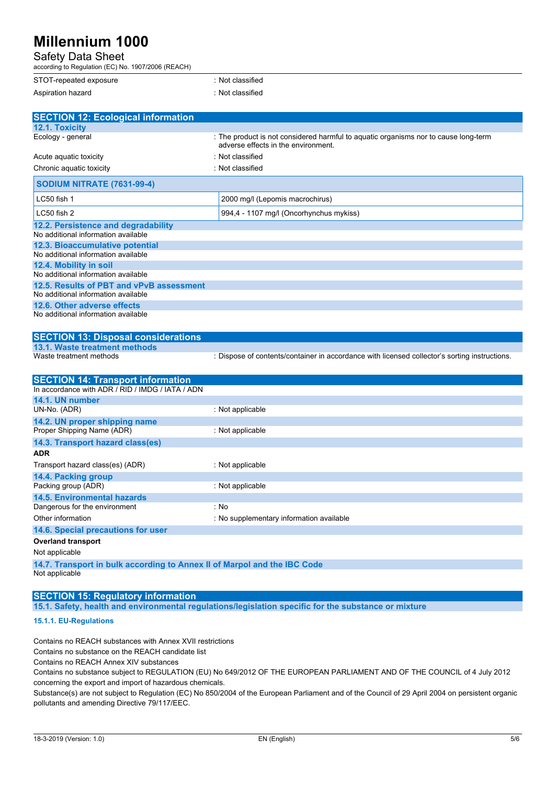| v<br><b>Safety Data Sheet</b>                                                                |                                                                                                                            |
|----------------------------------------------------------------------------------------------|----------------------------------------------------------------------------------------------------------------------------|
| according to Regulation (EC) No. 1907/2006 (REACH)<br>STOT-repeated exposure                 | : Not classified                                                                                                           |
| Aspiration hazard                                                                            | : Not classified                                                                                                           |
|                                                                                              |                                                                                                                            |
| <b>SECTION 12: Ecological information</b><br>12.1. Toxicity                                  |                                                                                                                            |
| Ecology - general                                                                            | : The product is not considered harmful to aquatic organisms nor to cause long-term<br>adverse effects in the environment. |
| Acute aquatic toxicity                                                                       | : Not classified                                                                                                           |
| Chronic aquatic toxicity                                                                     | : Not classified                                                                                                           |
| <b>SODIUM NITRATE (7631-99-4)</b>                                                            |                                                                                                                            |
| LC50 fish 1                                                                                  | 2000 mg/l (Lepomis macrochirus)                                                                                            |
| LC50 fish 2                                                                                  | 994,4 - 1107 mg/l (Oncorhynchus mykiss)                                                                                    |
| 12.2. Persistence and degradability<br>No additional information available                   |                                                                                                                            |
| 12.3. Bioaccumulative potential                                                              |                                                                                                                            |
| No additional information available                                                          |                                                                                                                            |
| 12.4. Mobility in soil<br>No additional information available                                |                                                                                                                            |
| 12.5. Results of PBT and vPvB assessment                                                     |                                                                                                                            |
| No additional information available                                                          |                                                                                                                            |
| 12.6. Other adverse effects                                                                  |                                                                                                                            |
| No additional information available                                                          |                                                                                                                            |
| <b>SECTION 13: Disposal considerations</b>                                                   |                                                                                                                            |
| 13.1. Waste treatment methods                                                                |                                                                                                                            |
| Waste treatment methods                                                                      | : Dispose of contents/container in accordance with licensed collector's sorting instructions.                              |
| <b>SECTION 14: Transport information</b><br>In accordance with ADR / RID / IMDG / IATA / ADN |                                                                                                                            |
| 14.1. UN number                                                                              |                                                                                                                            |
| UN-No. (ADR)                                                                                 | : Not applicable                                                                                                           |
| 14.2. UN proper shipping name                                                                |                                                                                                                            |
| Proper Shipping Name (ADR)                                                                   | : Not applicable                                                                                                           |
| 14.3. Transport hazard class(es)                                                             |                                                                                                                            |
| <b>ADR</b>                                                                                   |                                                                                                                            |
| Transport hazard class(es) (ADR)                                                             | : Not applicable                                                                                                           |

Packing group (ADR) : Not applicable **14.5. Environmental hazards** Dangerous for the environment : No

Other information **intervalse and the contract of the Contract School** information available **14.6. Special precautions for user Overland transport**

#### Not applicable

**14.4. Packing group**

**14.7. Transport in bulk according to Annex II of Marpol and the IBC Code** Not applicable

### **SECTION 15: Regulatory information**

**15.1. Safety, health and environmental regulations/legislation specific for the substance or mixture**

### **15.1.1. EU-Regulations**

Contains no REACH substances with Annex XVII restrictions

Contains no substance on the REACH candidate list

Contains no REACH Annex XIV substances

Contains no substance subject to REGULATION (EU) No 649/2012 OF THE EUROPEAN PARLIAMENT AND OF THE COUNCIL of 4 July 2012 concerning the export and import of hazardous chemicals.

Substance(s) are not subject to Regulation (EC) No 850/2004 of the European Parliament and of the Council of 29 April 2004 on persistent organic pollutants and amending Directive 79/117/EEC.